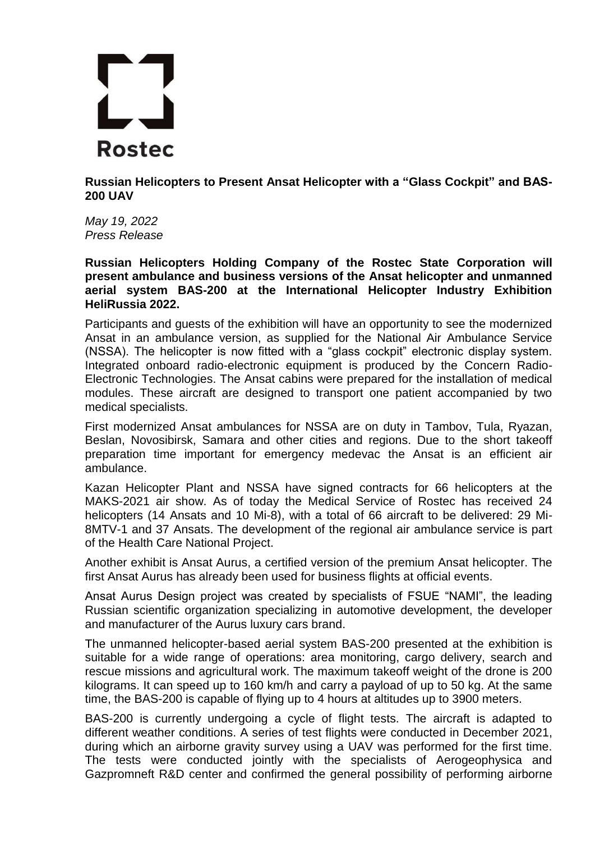

**Russian Helicopters to Present Ansat Helicopter with a "Glass Cockpit" and BAS-200 UAV**

*May 19, 2022 Press Release*

**Russian Helicopters Holding Company of the Rostec State Corporation will present ambulance and business versions of the Ansat helicopter and unmanned aerial system BAS-200 at the International Helicopter Industry Exhibition HeliRussia 2022.**

Participants and guests of the exhibition will have an opportunity to see the modernized Ansat in an ambulance version, as supplied for the National Air Ambulance Service (NSSA). The helicopter is now fitted with a "glass cockpit" electronic display system. Integrated onboard radio-electronic equipment is produced by the Concern Radio-Electronic Technologies. The Ansat cabins were prepared for the installation of medical modules. These aircraft are designed to transport one patient accompanied by two medical specialists.

First modernized Ansat ambulances for NSSA are on duty in Tambov, Tula, Ryazan, Beslan, Novosibirsk, Samara and other cities and regions. Due to the short takeoff preparation time important for emergency medevac the Ansat is an efficient air ambulance.

Kazan Helicopter Plant and NSSA have signed contracts for 66 helicopters at the MAKS-2021 air show. As of today the Medical Service of Rostec has received 24 helicopters (14 Ansats and 10 Mi-8), with a total of 66 aircraft to be delivered: 29 Mi-8MTV-1 and 37 Ansats. The development of the regional air ambulance service is part of the Health Care National Project.

Another exhibit is Ansat Aurus, a certified version of the premium Ansat helicopter. The first Ansat Aurus has already been used for business flights at official events.

Ansat Aurus Design project was created by specialists of FSUE "NAMI", the leading Russian scientific organization specializing in automotive development, the developer and manufacturer of the Aurus luxury cars brand.

The unmanned helicopter-based aerial system BAS-200 presented at the exhibition is suitable for a wide range of operations: area monitoring, cargo delivery, search and rescue missions and agricultural work. The maximum takeoff weight of the drone is 200 kilograms. It can speed up to 160 km/h and carry a payload of up to 50 kg. At the same time, the BAS-200 is capable of flying up to 4 hours at altitudes up to 3900 meters.

BAS-200 is currently undergoing a cycle of flight tests. The aircraft is adapted to different weather conditions. A series of test flights were conducted in December 2021, during which an airborne gravity survey using a UAV was performed for the first time. The tests were conducted jointly with the specialists of Aerogeophysica and Gazpromneft R&D center and confirmed the general possibility of performing airborne